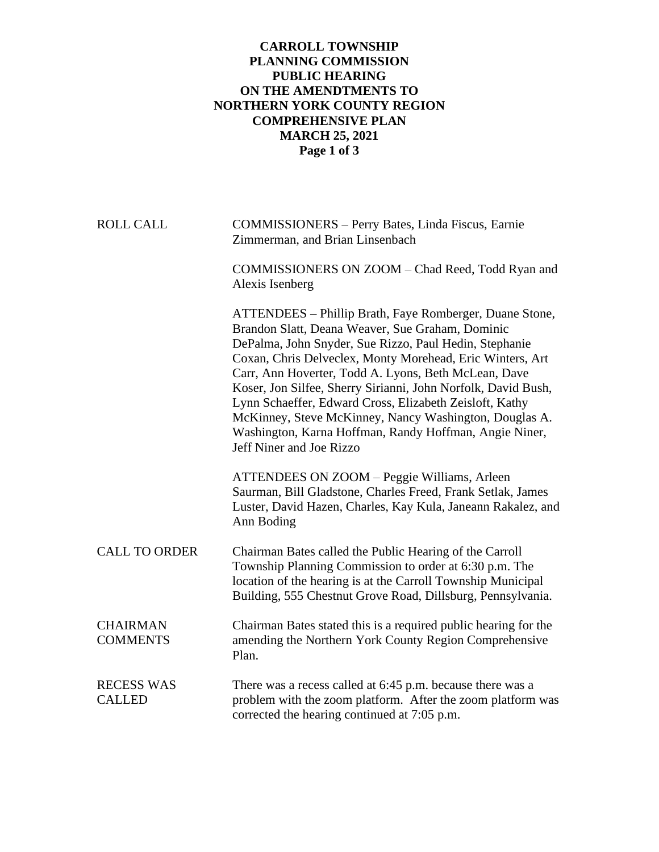## **CARROLL TOWNSHIP PLANNING COMMISSION PUBLIC HEARING ON THE AMENDTMENTS TO NORTHERN YORK COUNTY REGION COMPREHENSIVE PLAN MARCH 25, 2021 Page 1 of 3**

| <b>ROLL CALL</b>                   | <b>COMMISSIONERS</b> - Perry Bates, Linda Fiscus, Earnie<br>Zimmerman, and Brian Linsenbach                                                                                                                                                                                                                                                                                                                                                                                                                                                                            |
|------------------------------------|------------------------------------------------------------------------------------------------------------------------------------------------------------------------------------------------------------------------------------------------------------------------------------------------------------------------------------------------------------------------------------------------------------------------------------------------------------------------------------------------------------------------------------------------------------------------|
|                                    | COMMISSIONERS ON ZOOM - Chad Reed, Todd Ryan and<br>Alexis Isenberg                                                                                                                                                                                                                                                                                                                                                                                                                                                                                                    |
|                                    | ATTENDEES - Phillip Brath, Faye Romberger, Duane Stone,<br>Brandon Slatt, Deana Weaver, Sue Graham, Dominic<br>DePalma, John Snyder, Sue Rizzo, Paul Hedin, Stephanie<br>Coxan, Chris Delveclex, Monty Morehead, Eric Winters, Art<br>Carr, Ann Hoverter, Todd A. Lyons, Beth McLean, Dave<br>Koser, Jon Silfee, Sherry Sirianni, John Norfolk, David Bush,<br>Lynn Schaeffer, Edward Cross, Elizabeth Zeisloft, Kathy<br>McKinney, Steve McKinney, Nancy Washington, Douglas A.<br>Washington, Karna Hoffman, Randy Hoffman, Angie Niner,<br>Jeff Niner and Joe Rizzo |
|                                    | ATTENDEES ON ZOOM - Peggie Williams, Arleen<br>Saurman, Bill Gladstone, Charles Freed, Frank Setlak, James<br>Luster, David Hazen, Charles, Kay Kula, Janeann Rakalez, and<br>Ann Boding                                                                                                                                                                                                                                                                                                                                                                               |
| <b>CALL TO ORDER</b>               | Chairman Bates called the Public Hearing of the Carroll<br>Township Planning Commission to order at 6:30 p.m. The<br>location of the hearing is at the Carroll Township Municipal<br>Building, 555 Chestnut Grove Road, Dillsburg, Pennsylvania.                                                                                                                                                                                                                                                                                                                       |
| <b>CHAIRMAN</b><br><b>COMMENTS</b> | Chairman Bates stated this is a required public hearing for the<br>amending the Northern York County Region Comprehensive<br>Plan.                                                                                                                                                                                                                                                                                                                                                                                                                                     |
| <b>RECESS WAS</b><br><b>CALLED</b> | There was a recess called at 6:45 p.m. because there was a<br>problem with the zoom platform. After the zoom platform was<br>corrected the hearing continued at 7:05 p.m.                                                                                                                                                                                                                                                                                                                                                                                              |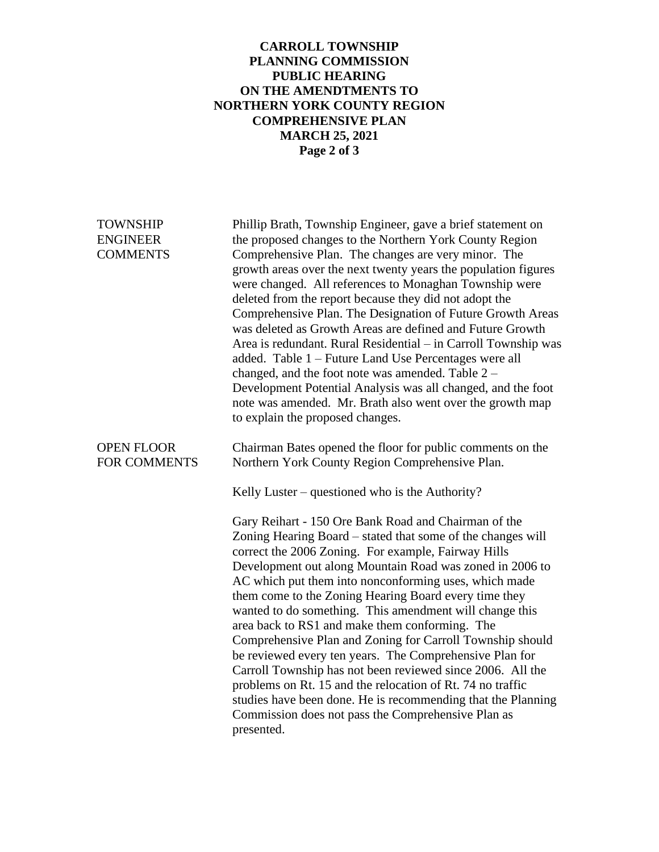## **CARROLL TOWNSHIP PLANNING COMMISSION PUBLIC HEARING ON THE AMENDTMENTS TO NORTHERN YORK COUNTY REGION COMPREHENSIVE PLAN MARCH 25, 2021 Page 2 of 3**

| <b>TOWNSHIP</b><br><b>ENGINEER</b><br><b>COMMENTS</b> | Phillip Brath, Township Engineer, gave a brief statement on<br>the proposed changes to the Northern York County Region<br>Comprehensive Plan. The changes are very minor. The<br>growth areas over the next twenty years the population figures<br>were changed. All references to Monaghan Township were<br>deleted from the report because they did not adopt the<br>Comprehensive Plan. The Designation of Future Growth Areas<br>was deleted as Growth Areas are defined and Future Growth<br>Area is redundant. Rural Residential - in Carroll Township was<br>added. Table 1 - Future Land Use Percentages were all<br>changed, and the foot note was amended. Table $2 -$<br>Development Potential Analysis was all changed, and the foot<br>note was amended. Mr. Brath also went over the growth map<br>to explain the proposed changes.             |
|-------------------------------------------------------|---------------------------------------------------------------------------------------------------------------------------------------------------------------------------------------------------------------------------------------------------------------------------------------------------------------------------------------------------------------------------------------------------------------------------------------------------------------------------------------------------------------------------------------------------------------------------------------------------------------------------------------------------------------------------------------------------------------------------------------------------------------------------------------------------------------------------------------------------------------|
| <b>OPEN FLOOR</b><br>FOR COMMENTS                     | Chairman Bates opened the floor for public comments on the<br>Northern York County Region Comprehensive Plan.                                                                                                                                                                                                                                                                                                                                                                                                                                                                                                                                                                                                                                                                                                                                                 |
|                                                       | Kelly Luster – questioned who is the Authority?                                                                                                                                                                                                                                                                                                                                                                                                                                                                                                                                                                                                                                                                                                                                                                                                               |
|                                                       | Gary Reihart - 150 Ore Bank Road and Chairman of the<br>Zoning Hearing Board – stated that some of the changes will<br>correct the 2006 Zoning. For example, Fairway Hills<br>Development out along Mountain Road was zoned in 2006 to<br>AC which put them into nonconforming uses, which made<br>them come to the Zoning Hearing Board every time they<br>wanted to do something. This amendment will change this<br>area back to RS1 and make them conforming. The<br>Comprehensive Plan and Zoning for Carroll Township should<br>be reviewed every ten years. The Comprehensive Plan for<br>Carroll Township has not been reviewed since 2006. All the<br>problems on Rt. 15 and the relocation of Rt. 74 no traffic<br>studies have been done. He is recommending that the Planning<br>Commission does not pass the Comprehensive Plan as<br>presented. |